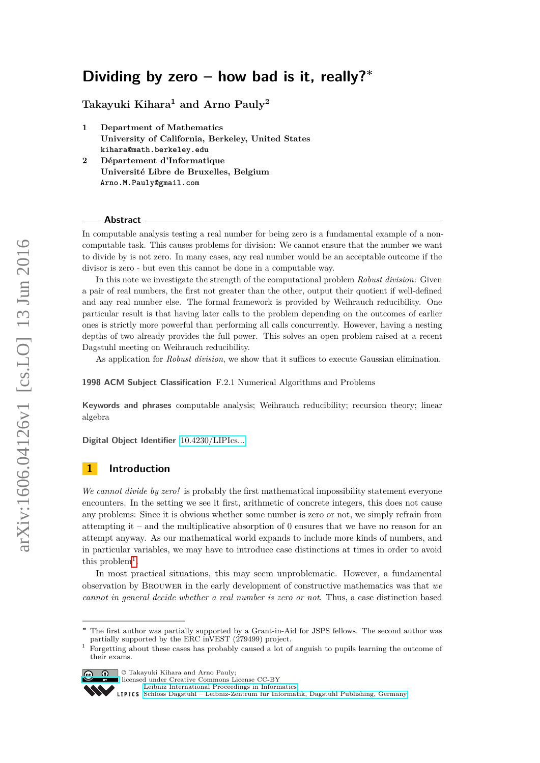# <span id="page-0-1"></span>**Dividing by zero – how bad is it, really?<sup>∗</sup>**

**Takayuki Kihara<sup>1</sup> and Arno Pauly<sup>2</sup>**

- **1 Department of Mathematics University of California, Berkeley, United States kihara@math.berkeley.edu**
- **2 Département d'Informatique Université Libre de Bruxelles, Belgium Arno.M.Pauly@gmail.com**

#### **Abstract**

In computable analysis testing a real number for being zero is a fundamental example of a noncomputable task. This causes problems for division: We cannot ensure that the number we want to divide by is not zero. In many cases, any real number would be an acceptable outcome if the divisor is zero - but even this cannot be done in a computable way.

In this note we investigate the strength of the computational problem *Robust division*: Given a pair of real numbers, the first not greater than the other, output their quotient if well-defined and any real number else. The formal framework is provided by Weihrauch reducibility. One particular result is that having later calls to the problem depending on the outcomes of earlier ones is strictly more powerful than performing all calls concurrently. However, having a nesting depths of two already provides the full power. This solves an open problem raised at a recent Dagstuhl meeting on Weihrauch reducibility.

As application for *Robust division*, we show that it suffices to execute Gaussian elimination.

**1998 ACM Subject Classification** F.2.1 Numerical Algorithms and Problems

**Keywords and phrases** computable analysis; Weihrauch reducibility; recursion theory; linear algebra

**Digital Object Identifier** [10.4230/LIPIcs...](http://dx.doi.org/10.4230/LIPIcs...)

# **1 Introduction**

*We cannot divide by zero!* is probably the first mathematical impossibility statement everyone encounters. In the setting we see it first, arithmetic of concrete integers, this does not cause any problems: Since it is obvious whether some number is zero or not, we simply refrain from attempting it – and the multiplicative absorption of 0 ensures that we have no reason for an attempt anyway. As our mathematical world expands to include more kinds of numbers, and in particular variables, we may have to introduce case distinctions at times in order to avoid this problem<sup>[1](#page-0-0)</sup>.

In most practical situations, this may seem unproblematic. However, a fundamental observation by Brouwer in the early development of constructive mathematics was that *we cannot in general decide whether a real number is zero or not*. Thus, a case distinction based

<span id="page-0-0"></span><sup>&</sup>lt;sup>1</sup> Forgetting about these cases has probably caused a lot of anguish to pupils learning the outcome of their exams.



**c**  $\bullet$  **Takayuki Kihara and Arno Pauly:** 

licensed under Creative Commons License CC-BY

[Leibniz International Proceedings in Informatics](http://www.dagstuhl.de/lipics/)

The first author was partially supported by a Grant-in-Aid for JSPS fellows. The second author was partially supported by the ERC inVEST (279499) project.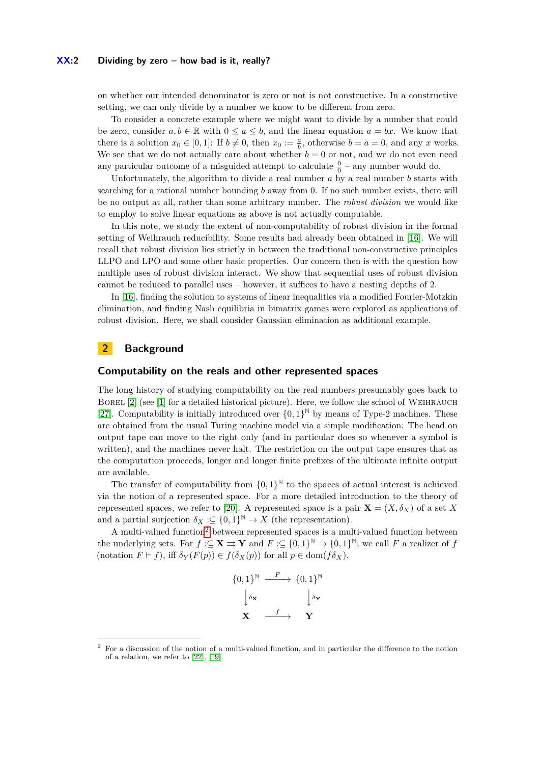#### **XX:2 Dividing by zero – how bad is it, really?**

on whether our intended denominator is zero or not is not constructive. In a constructive setting, we can only divide by a number we know to be different from zero.

To consider a concrete example where we might want to divide by a number that could be zero, consider  $a, b \in \mathbb{R}$  with  $0 \le a \le b$ , and the linear equation  $a = bx$ . We know that there is a solution  $x_0 \in [0, 1]$ : If  $b \neq 0$ , then  $x_0 := \frac{a}{b}$ , otherwise  $b = a = 0$ , and any *x* works. We see that we do not actually care about whether  $b = 0$  or not, and we do not even need any particular outcome of a misguided attempt to calculate  $\frac{0}{0}$  – any number would do.

Unfortunately, the algorithm to divide a real number *a* by a real number *b* starts with searching for a rational number bounding *b* away from 0. If no such number exists, there will be no output at all, rather than some arbitrary number. The *robust division* we would like to employ to solve linear equations as above is not actually computable.

In this note, we study the extent of non-computability of robust division in the formal setting of Weihrauch reducibility. Some results had already been obtained in [\[16\]](#page-13-0). We will recall that robust division lies strictly in between the traditional non-constructive principles LLPO and LPO and some other basic properties. Our concern then is with the question how multiple uses of robust division interact. We show that sequential uses of robust division cannot be reduced to parallel uses – however, it suffices to have a nesting depths of 2.

In [\[16\]](#page-13-0), finding the solution to systems of linear inequalities via a modified Fourier-Motzkin elimination, and finding Nash equilibria in bimatrix games were explored as applications of robust division. Here, we shall consider Gaussian elimination as additional example.

# **2 Background**

### **Computability on the reals and other represented spaces**

The long history of studying computability on the real numbers presumably goes back to BOREL [\[2\]](#page-13-1) (see [\[1\]](#page-13-2) for a detailed historical picture). Here, we follow the school of WEIHRAUCH [\[27\]](#page-14-0). Computability is initially introduced over  $\{0,1\}^{\mathbb{N}}$  by means of Type-2 machines. These are obtained from the usual Turing machine model via a simple modification: The head on output tape can move to the right only (and in particular does so whenever a symbol is written), and the machines never halt. The restriction on the output tape ensures that as the computation proceeds, longer and longer finite prefixes of the ultimate infinite output are available.

The transfer of computability from  $\{0,1\}^{\mathbb{N}}$  to the spaces of actual interest is achieved via the notion of a represented space. For a more detailed introduction to the theory of represented spaces, we refer to [\[20\]](#page-14-1). A represented space is a pair  $\mathbf{X} = (X, \delta_X)$  of a set X and a partial surjection  $\delta_X : \subseteq \{0,1\}^{\mathbb{N}} \to X$  (the representation).

A multi-valued function<sup>[2](#page-1-0)</sup> between represented spaces is a multi-valued function between the underlying sets. For  $f : \subseteq \mathbf{X} \implies \mathbf{Y}$  and  $F : \subseteq \{0,1\}^{\mathbb{N}} \to \{0,1\}^{\mathbb{N}}$ , we call F a realizer of f (notation  $F \vdash f$ ), iff  $\delta_Y(F(p)) \in f(\delta_X(p))$  for all  $p \in \text{dom}(f\delta_X)$ .

$$
\{0,1\}^{\mathbb{N}} \xrightarrow{F} \{0,1\}^{\mathbb{N}}
$$

$$
\downarrow \delta \mathbf{x} \xrightarrow{f} \mathbf{Y}
$$

<span id="page-1-0"></span><sup>2</sup> For a discussion of the notion of a multi-valued function, and in particular the difference to the notion of a relation, we refer to [\[22\]](#page-14-2), [\[19\]](#page-14-3).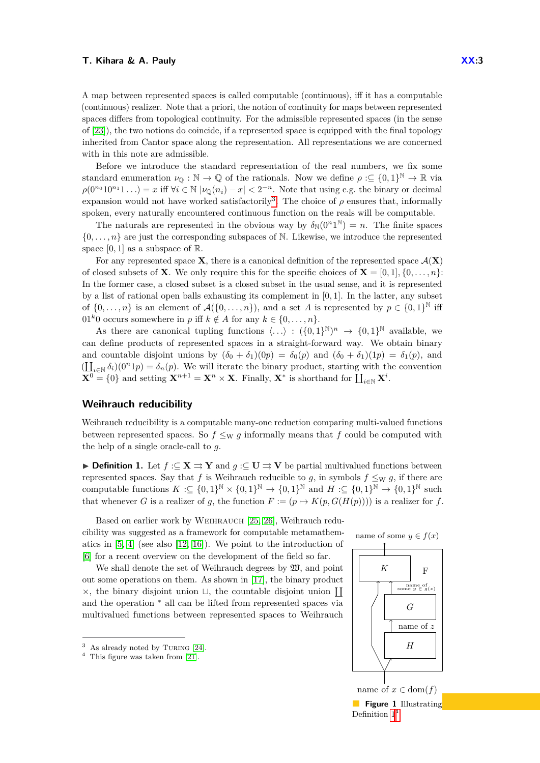A map between represented spaces is called computable (continuous), iff it has a computable (continuous) realizer. Note that a priori, the notion of continuity for maps between represented spaces differs from topological continuity. For the admissible represented spaces (in the sense of [\[23\]](#page-14-4)), the two notions do coincide, if a represented space is equipped with the final topology inherited from Cantor space along the representation. All representations we are concerned with in this note are admissible.

Before we introduce the standard representation of the real numbers, we fix some standard enumeration  $\nu_{\mathbb{Q}} : \mathbb{N} \to \mathbb{Q}$  of the rationals. Now we define  $\rho : \subseteq \{0,1\}^{\mathbb{N}} \to \mathbb{R}$  via  $\rho(0^{n_0}10^{n_1}1...) = x$  iff  $\forall i \in \mathbb{N}$   $|\nu_{\mathbb{Q}}(n_i) - x| < 2^{-n}$ . Note that using e.g. the binary or decimal expansion would not have worked satisfactorily<sup>[3](#page-2-0)</sup>. The choice of  $\rho$  ensures that, informally spoken, every naturally encountered continuous function on the reals will be computable.

The naturals are represented in the obvious way by  $\delta_N(0^n 1^N) = n$ . The finite spaces  $\{0, \ldots, n\}$  are just the corresponding subspaces of N. Likewise, we introduce the represented space  $[0, 1]$  as a subspace of  $\mathbb{R}$ .

For any represented space **X**, there is a canonical definition of the represented space  $\mathcal{A}(\mathbf{X})$ of closed subsets of **X**. We only require this for the specific choices of  $\mathbf{X} = [0, 1], \{0, \ldots, n\}$ : In the former case, a closed subset is a closed subset in the usual sense, and it is represented by a list of rational open balls exhausting its complement in [0*,* 1]. In the latter, any subset of  $\{0,\ldots,n\}$  is an element of  $\mathcal{A}(\{0,\ldots,n\})$ , and a set *A* is represented by  $p \in \{0,1\}^{\mathbb{N}}$  iff 01<sup>k</sup>0 occurs somewhere in *p* iff  $k \notin A$  for any  $k \in \{0, \ldots, n\}.$ 

As there are canonical tupling functions  $\langle \ldots \rangle : ({0,1})^{\mathbb{N}} \to {0,1}^{\mathbb{N}}$  available, we can define products of represented spaces in a straight-forward way. We obtain binary and countable disjoint unions by  $(\delta_0 + \delta_1)(0p) = \delta_0(p)$  and  $(\delta_0 + \delta_1)(1p) = \delta_1(p)$ , and  $(\coprod_{i\in\mathbb{N}}\delta_i)(0^n1p)=\delta_n(p)$ . We will iterate the binary product, starting with the convention  $\mathbf{X}^0 = \{0\}$  and setting  $\mathbf{X}^{n+1} = \mathbf{X}^n \times \mathbf{X}$ . Finally,  $\mathbf{X}^*$  is shorthand for  $\prod_{i \in \mathbb{N}} \mathbf{X}^i$ .

#### **Weihrauch reducibility**

Weihrauch reducibility is a computable many-one reduction comparing multi-valued functions between represented spaces. So  $f \leq_{\text{W}} g$  informally means that f could be computed with the help of a single oracle-call to *g*.

<span id="page-2-1"></span>**► Definition 1.** Let  $f: \subseteq \mathbf{X} \implies \mathbf{Y}$  and  $g: \subseteq \mathbf{U} \implies \mathbf{V}$  be partial multivalued functions between represented spaces. Say that *f* is Weihrauch reducible to *g*, in symbols  $f \leq_W g$ , if there are computable functions  $K \subset \{0,1\}^{\mathbb{N}} \times \{0,1\}^{\mathbb{N}} \to \{0,1\}^{\mathbb{N}}$  and  $H \subset \{0,1\}^{\mathbb{N}} \to \{0,1\}^{\mathbb{N}}$  such that whenever *G* is a realizer of *g*, the function  $F := (p \mapsto K(p, G(H(p))))$  is a realizer for *f*.

Based on earlier work by WEIHRAUCH [\[25,](#page-14-5) [26\]](#page-14-6), Weihrauch reducibility was suggested as a framework for computable metamathematics in [\[5,](#page-13-3) [4\]](#page-13-4) (see also [\[12,](#page-13-5) [16\]](#page-13-0)). We point to the introduction of [\[6\]](#page-13-6) for a recent overview on the development of the field so far.

We shall denote the set of Weihrauch degrees by  $\mathfrak{W}$ , and point out some operations on them. As shown in [\[17\]](#page-13-7), the binary product  $\times$ , the binary disjoint union  $\Box$ , the countable disjoint union  $\coprod$ and the operation  $*$  all can be lifted from represented spaces via multivalued functions between represented spaces to Weihrauch



**Figure 1** Illustrating Definition  $1<sup>4</sup>$  $1<sup>4</sup>$  $1<sup>4</sup>$ 

<span id="page-2-0"></span> $3$  As already noted by TURING [\[24\]](#page-14-7).

<span id="page-2-2"></span> $4$  This figure was taken from [\[21\]](#page-14-8).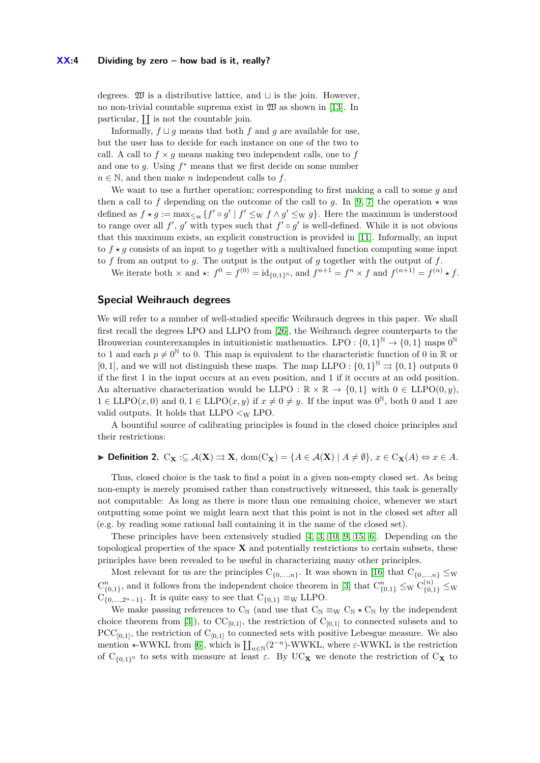degrees.  $\mathfrak W$  is a distributive lattice, and  $\sqcup$  is the join. However, no non-trivial countable suprema exist in W as shown in [\[13\]](#page-13-8). In particular,  $\prod$  is not the countable join.

Informally,  $f \sqcup q$  means that both  $f$  and  $q$  are available for use, but the user has to decide for each instance on one of the two to call. A call to  $f \times q$  means making two independent calls, one to f and one to *g*. Using *f* <sup>∗</sup> means that we first decide on some number  $n \in \mathbb{N}$ , and then make *n* independent calls to *f*.

We want to use a further operation; corresponding to first making a call to some *g* and then a call to f depending on the outcome of the call to g. In [\[9,](#page-13-9) [7\]](#page-13-10) the operation  $\star$  was defined as  $f \star g := \max_{\leq w} \{f' \circ g' \mid f' \leq w \}$   $f \wedge g' \leq w \}$ . Here the maximum is understood to range over all  $f'$ ,  $g'$  with types such that  $f' \circ g'$  is well-defined. While it is not obvious that this maximum exists, an explicit construction is provided in [\[11\]](#page-13-11). Informally, an input to  $f \star q$  consists of an input to q together with a multivalued function computing some input to *f* from an output to *g*. The output is the output of *g* together with the output of *f*.

We iterate both  $\times$  and  $\star$ :  $f^0 = f^{(0)} = id_{\{0,1\}^{\mathbb{N}}},$  and  $f^{n+1} = f^n \times f$  and  $f^{(n+1)} = f^{(n)} \star f$ .

# **Special Weihrauch degrees**

We will refer to a number of well-studied specific Weihrauch degrees in this paper. We shall first recall the degrees LPO and LLPO from [\[26\]](#page-14-6), the Weihrauch degree counterparts to the Brouwerian counterexamples in intuitionistic mathematics. LPO :  $\{0,1\}^{\mathbb{N}} \to \{0,1\}$  maps  $0^{\mathbb{N}}$ to 1 and each  $p \neq 0^{\mathbb{N}}$  to 0. This map is equivalent to the characteristic function of 0 in R or [0, 1], and we will not distinguish these maps. The map LLPO :  $\{0,1\}^{\mathbb{N}} \rightrightarrows \{0,1\}$  outputs 0 if the first 1 in the input occurs at an even position, and 1 if it occurs at an odd position. An alternative characterization would be LLPO :  $\mathbb{R} \times \mathbb{R} \to \{0,1\}$  with  $0 \in \text{LLPO}(0, y)$ ,  $1 \in \text{LLPO}(x,0)$  and  $0, 1 \in \text{LLPO}(x,y)$  if  $x \neq 0 \neq y$ . If the input was  $0^{\mathbb{N}},$  both 0 and 1 are valid outputs. It holds that  $LLPO <sub>W</sub> <sub>UPO</sub>$ .

A bountiful source of calibrating principles is found in the closed choice principles and their restrictions:

# **► Definition 2.**  $C_{\mathbf{X}}$  :⊂  $\mathcal{A}(\mathbf{X}) \rightrightarrows \mathbf{X}$ ,  $\text{dom}(C_{\mathbf{X}}) = \{A \in \mathcal{A}(\mathbf{X}) \mid A \neq \emptyset\}$ ,  $x \in C_{\mathbf{X}}(A) \Leftrightarrow x \in A$ .

Thus, closed choice is the task to find a point in a given non-empty closed set. As being non-empty is merely promised rather than constructively witnessed, this task is generally not computable: As long as there is more than one remaining choice, whenever we start outputting some point we might learn next that this point is not in the closed set after all (e.g. by reading some rational ball containing it in the name of the closed set).

These principles have been extensively studied [\[4,](#page-13-4) [3,](#page-13-12) [10,](#page-13-13) [9,](#page-13-9) [15,](#page-13-14) [6\]](#page-13-6). Depending on the topological properties of the space **X** and potentially restrictions to certain subsets, these principles have been revealed to be useful in characterizing many other principles.

Most relevant for us are the principles  $C_{\{0,\ldots,n\}}$ . It was shown in [\[16\]](#page-13-0) that  $C_{\{0,\ldots,n\}} \leq_W$  $C_{\{0,1\}}^n$ , and it follows from the independent choice theorem in [\[3\]](#page-13-12) that  $C_{\{0,1\}}^n \leq_W C_{\{0,1\}}^{(n)} \leq_W$  $C_{\{0,\ldots,2^n-1\}}$ . It is quite easy to see that  $C_{\{0,1\}} \equiv_{\text{W}} \text{LLPO}$ .

We make passing references to  $C_N$  (and use that  $C_N \equiv_W C_N \star C_N$  by the independent choice theorem from [\[3\]](#page-13-12)), to  $CC_{[0,1]}$ , the restriction of  $C_{[0,1]}$  to connected subsets and to  $PCC_{[0,1]}$ , the restriction of  $C_{[0,1]}$  to connected sets with positive Lebesgue measure. We also mention  $\star$ -WWKL from [\[6\]](#page-13-6), which is  $\prod_{n\in\mathbb{N}}(2^{-n})$ -WWKL, where  $\varepsilon$ -WWKL is the restriction of C<sub>{0,1}</sub><sup>N</sup> to sets with measure at least  $\varepsilon$ . By UC<sub>X</sub> we denote the restriction of C<sub>X</sub> to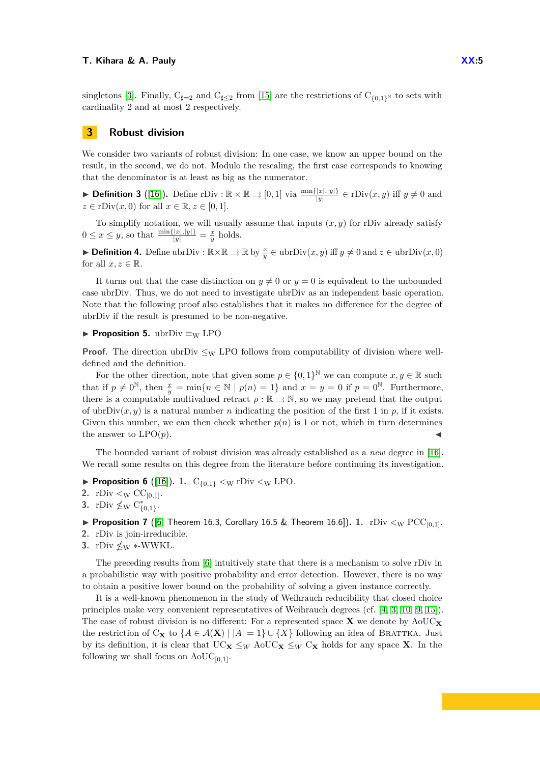singletons [\[3\]](#page-13-12). Finally,  $C_{\frac{d}{2}}=2$  and  $C_{\frac{d}{2}}\leq 2$  from [\[15\]](#page-13-14) are the restrictions of  $C_{\{0,1\}^{\mathbb{N}}}$  to sets with cardinality 2 and at most 2 respectively.

# **3 Robust division**

We consider two variants of robust division: In one case, we know an upper bound on the result, in the second, we do not. Modulo the rescaling, the first case corresponds to knowing that the denominator is at least as big as the numerator.

▶ **Definition 3** ([\[16\]](#page-13-0)). Define rDiv :  $\mathbb{R} \times \mathbb{R} \Rightarrow [0, 1]$  via  $\frac{\min\{|x|, |y|\}}{|y|} \in$  rDiv $(x, y)$  iff  $y \neq 0$  and  $z \in \text{rDiv}(x, 0)$  for all  $x \in \mathbb{R}, z \in [0, 1].$ 

To simplify notation, we will usually assume that inputs  $(x, y)$  for rDiv already satisfy  $0 \leq x \leq y$ , so that  $\frac{\min\{|x|,|y|\}}{|y|} = \frac{x}{y}$  holds.

▶ **Definition 4.** Define ubrDiv :  $\mathbb{R} \times \mathbb{R} \Rightarrow \mathbb{R}$  by  $\frac{x}{y} \in \text{ubrDiv}(x, y)$  iff  $y \neq 0$  and  $z \in \text{ubrDiv}(x, 0)$ for all  $x, z \in \mathbb{R}$ .

It turns out that the case distinction on  $y \neq 0$  or  $y = 0$  is equivalent to the unbounded case ubrDiv. Thus, we do not need to investigate ubrDiv as an independent basic operation. Note that the following proof also establishes that it makes no difference for the degree of ubrDiv if the result is presumed to be non-negative.

## **► Proposition 5.** ubrDiv  $\equiv$ w LPO

**Proof.** The direction ubrDiv  $\leq_W$  LPO follows from computability of division where welldefined and the definition.

For the other direction, note that given some  $p \in \{0,1\}^{\mathbb{N}}$  we can compute  $x, y \in \mathbb{R}$  such that if  $p \neq 0^{\mathbb{N}}$ , then  $\frac{x}{y} = \min\{n \in \mathbb{N} \mid p(n) = 1\}$  and  $x = y = 0$  if  $p = 0^{\mathbb{N}}$ . Furthermore, there is a computable multivalued retract  $\rho : \mathbb{R} \rightrightarrows \mathbb{N}$ , so we may pretend that the output of ubrDiv $(x, y)$  is a natural number *n* indicating the position of the first 1 in *p*, if it exists. Given this number, we can then check whether  $p(n)$  is 1 or not, which in turn determines the answer to  $LPO(p)$ .

The bounded variant of robust division was already established as a *new* degree in [\[16\]](#page-13-0). We recall some results on this degree from the literature before continuing its investigation.

- **Proposition 6** ([\[16\]](#page-13-0)). **1.**  $C_{\{0,1\}} < W$  rDiv  $< W$  LPO.
- **2.** rDiv  $\lt_W CC_{[0,1]}$ .
- **3.** rDiv  $\nleq_W C_{\{0,1\}}^*$ .
- **Proposition 7** ([\[6,](#page-13-6) Theorem 16.3, Corollary 16.5 & Theorem 16.6]). 1. rDiv  $\lt_{\text{W}}$  PCC<sub>[0,1]</sub>.
- **2.** rDiv is join-irreducible.
- **3.** rDiv  $\nleq$ <sub>W</sub> \*-WWKL.

The preceding results from [\[6\]](#page-13-6) intuitively state that there is a mechanism to solve rDiv in a probabilistic way with positive probability and error detection. However, there is no way to obtain a positive lower bound on the probability of solving a given instance correctly.

It is a well-known phenomenon in the study of Weihrauch reducibility that closed choice principles make very convenient representatives of Weihrauch degrees (cf. [\[4,](#page-13-4) [3,](#page-13-12) [10,](#page-13-13) [9,](#page-13-9) [15\]](#page-13-14)). The case of robust division is no different: For a represented space  $\bf{X}$  we denote by  $A_0UC_{\bf{X}}$ the restriction of C<sub>X</sub> to  $\{A \in \mathcal{A}(\mathbf{X}) \mid |A| = 1\} \cup \{X\}$  following an idea of BRATTKA. Just by its definition, it is clear that  $UC_{\mathbf{X}} \leq_W \text{AoUC}_{\mathbf{X}} \leq_W C_{\mathbf{X}}$  holds for any space **X**. In the following we shall focus on  $\text{AoUC}_{[0,1]}$ .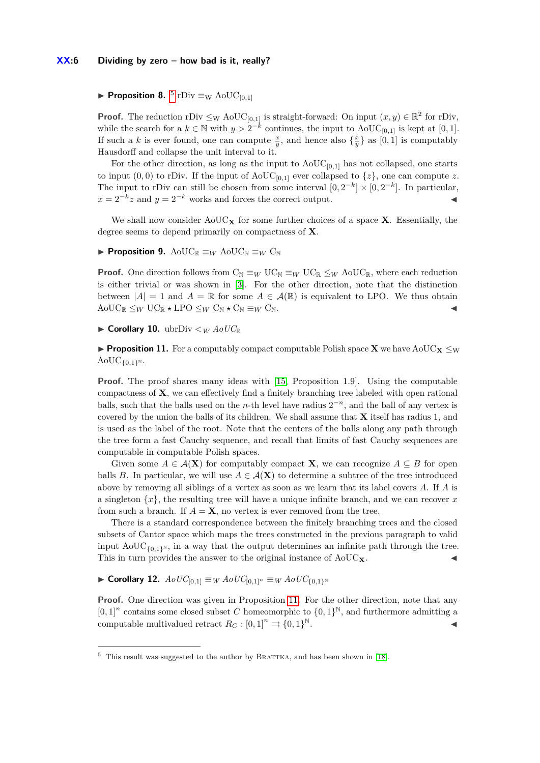<span id="page-5-2"></span>**Proposition 8.**  ${}^{5}$  ${}^{5}$  ${}^{5}$  rDiv  $\equiv_{\text{W}}$  AoUC<sub>[0,1]</sub>

**Proof.** The reduction rDiv  $\leq_W \text{AoUC}_{[0,1]}$  is straight-forward: On input  $(x, y) \in \mathbb{R}^2$  for rDiv, while the search for a  $k \in \mathbb{N}$  with  $y > 2^{-k}$  continues, the input to AoUC<sub>[0,1]</sub> is kept at [0,1]. If such a *k* is ever found, one can compute  $\frac{x}{y}$ , and hence also  $\{\frac{x}{y}\}\$ as  $[0,1]$  is computably Hausdorff and collapse the unit interval to it.

For the other direction, as long as the input to  $A_0UC_{[0,1]}$  has not collapsed, one starts to input  $(0,0)$  to rDiv. If the input of AoUC<sub>[0,1]</sub> ever collapsed to  $\{z\}$ , one can compute *z*. The input to rDiv can still be chosen from some interval  $[0, 2^{-k}] \times [0, 2^{-k}]$ . In particular,  $x = 2^{-k}z$  and  $y = 2^{-k}$  works and forces the correct output.

We shall now consider  $A \circ UC_{\mathbf{X}}$  for some further choices of a space **X**. Essentially, the degree seems to depend primarily on compactness of **X**.

**► Proposition 9.** AoU $C_{\mathbb{R}} \equiv_W \text{AoUC}_{\mathbb{N}} \equiv_W C_{\mathbb{N}}$ 

**Proof.** One direction follows from  $C_N \equiv_W \text{UC}_N \equiv_W \text{UC}_\mathbb{R} \leq_W \text{AoUC}_\mathbb{R}$ , where each reduction is either trivial or was shown in [\[3\]](#page-13-12). For the other direction, note that the distinction between  $|A| = 1$  and  $A = \mathbb{R}$  for some  $A \in \mathcal{A}(\mathbb{R})$  is equivalent to LPO. We thus obtain  $A \odot \text{UC}_{\mathbb{R}} \leq_W \text{UC}_{\mathbb{R}} \star \text{LPO} \leq_W \text{C}_{\mathbb{N}} \star \text{C}_{\mathbb{N}} \equiv_W \text{C}_{\mathbb{N}}.$ 

 $\triangleright$  **Corollary 10.** ubrDiv  $\lt_W A \circ UC_{\mathbb{R}}$ 

<span id="page-5-1"></span>**Proposition 11.** For a computably compact computable Polish space **X** we have AoUC<sub>**X**</sub>  $\leq$ w  $AoUC_{\{0,1\}^{\mathbb{N}}}.$ 

**Proof.** The proof shares many ideas with [\[15,](#page-13-14) Proposition 1.9]. Using the computable compactness of **X**, we can effectively find a finitely branching tree labeled with open rational balls, such that the balls used on the *n*-th level have radius  $2^{-n}$ , and the ball of any vertex is covered by the union the balls of its children. We shall assume that **X** itself has radius 1, and is used as the label of the root. Note that the centers of the balls along any path through the tree form a fast Cauchy sequence, and recall that limits of fast Cauchy sequences are computable in computable Polish spaces.

Given some  $A \in \mathcal{A}(\mathbf{X})$  for computably compact **X**, we can recognize  $A \subseteq B$  for open balls *B*. In particular, we will use  $A \in \mathcal{A}(\mathbf{X})$  to determine a subtree of the tree introduced above by removing all siblings of a vertex as soon as we learn that its label covers *A*. If *A* is a singleton {*x*}, the resulting tree will have a unique infinite branch, and we can recover *x* from such a branch. If  $A = \mathbf{X}$ , no vertex is ever removed from the tree.

There is a standard correspondence between the finitely branching trees and the closed subsets of Cantor space which maps the trees constructed in the previous paragraph to valid input  $A_0UC_{\{0,1\}^{\mathbb{N}}},$  in a way that the output determines an infinite path through the tree. This in turn provides the answer to the original instance of  $A_0UC_{\mathbf{X}}$ .

 $\blacktriangleright$  **Corollary 12.** *Ao*UC<sub>[0,1]</sub> ≡ *W AoUC*<sub>[0,1]<sup>*n*</sup> ≡ *W AoUC*<sub>{0,1}</sub><sup>*n*</sup></sub>

**Proof.** One direction was given in Proposition [11.](#page-5-1) For the other direction, note that any  $[0,1]^n$  contains some closed subset *C* homeomorphic to  $\{0,1\}^{\mathbb{N}}$ , and furthermore admitting a computable multivalued retract  $R_C : [0,1]^n \Rightarrow \{0,1\}^{\mathbb{N}}$ . N.

<span id="page-5-0"></span> $5$  This result was suggested to the author by BRATTKA, and has been shown in [\[18\]](#page-13-15).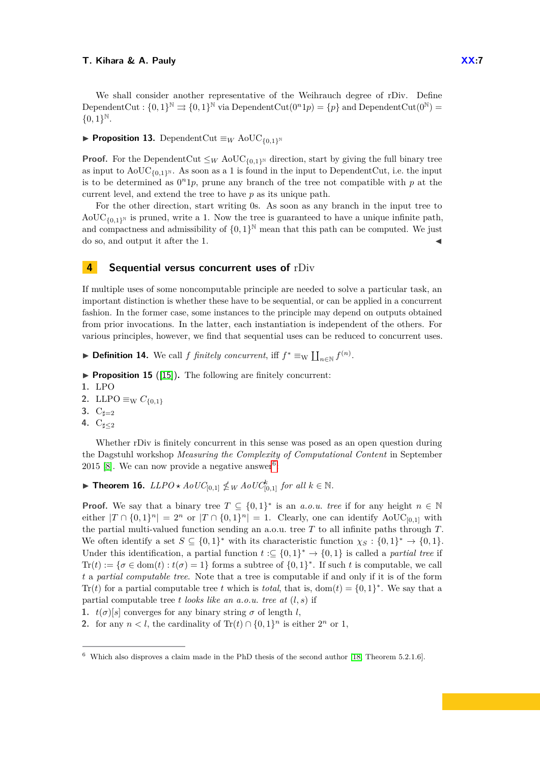We shall consider another representative of the Weihrauch degree of rDiv. Define DependentCut :  $\{0,1\}^{\mathbb{N}} \rightrightarrows \{0,1\}^{\mathbb{N}}$  via DependentCut $(0^n1p) = \{p\}$  and DependentCut $(0^{\mathbb{N}})$  ${0,1}^{\mathbb{N}}.$ 

#### **► Proposition 13.** DependentCut  $\equiv_W \text{AoUC}_{\{0,1\}^{\mathbb{N}}}$

**Proof.** For the DependentCut  $\leq_W \text{AoUC}_{\{0,1\}^{\mathbb{N}}}$  direction, start by giving the full binary tree as input to  $A_0UC_{\{0,1\}^N}$ . As soon as a 1 is found in the input to DependentCut, i.e. the input is to be determined as  $0<sup>n</sup>1p$ , prune any branch of the tree not compatible with  $p$  at the current level, and extend the tree to have *p* as its unique path.

For the other direction, start writing 0s. As soon as any branch in the input tree to  $A_0UC_{(0,1)^N}$  is pruned, write a 1. Now the tree is guaranteed to have a unique infinite path, and compactness and admissibility of  $\{0,1\}^{\mathbb{N}}$  mean that this path can be computed. We just do so, and output it after the 1.

# **4 Sequential versus concurrent uses of** rDiv

If multiple uses of some noncomputable principle are needed to solve a particular task, an important distinction is whether these have to be sequential, or can be applied in a concurrent fashion. In the former case, some instances to the principle may depend on outputs obtained from prior invocations. In the latter, each instantiation is independent of the others. For various principles, however, we find that sequential uses can be reduced to concurrent uses.

▶ **Definition 14.** We call *f finitely concurrent*, iff  $f^* \equiv_{\text{W}} \coprod_{n \in \mathbb{N}} f^{(n)}$ .

- **Proposition 15** ([\[15\]](#page-13-14)). The following are finitely concurrent:
- **1.** LPO

2. LLPO  $\equiv_{\rm W} C_{\{0,1\}}$ 

- **3.**  $C_{\sharp=2}$
- **4.**  $C_{\sharp \leq 2}$

Whether rDiv is finitely concurrent in this sense was posed as an open question during the Dagstuhl workshop *Measuring the Complexity of Computational Content* in September 2015 [\[8\]](#page-13-16). We can now provide a negative answer<sup>[6](#page-6-0)</sup>:

<span id="page-6-1"></span>▶ **Theorem 16.**  $LLPO \star AoUC_{[0,1]} \nleq W AoUC_{[0,1]}^{k}$  *for all*  $k \in \mathbb{N}$ .

**Proof.** We say that a binary tree  $T \subseteq \{0,1\}^*$  is an *a.o.u. tree* if for any height  $n \in \mathbb{N}$ either  $|T \cap \{0,1\}^n| = 2^n$  or  $|T \cap \{0,1\}^n| = 1$ . Clearly, one can identify AoUC<sub>[0,1]</sub> with the partial multi-valued function sending an a.o.u. tree *T* to all infinite paths through *T*. We often identify a set  $S \subseteq \{0,1\}^*$  with its characteristic function  $\chi_S : \{0,1\}^* \to \{0,1\}.$ Under this identification, a partial function  $t \in \{0,1\}^* \to \{0,1\}$  is called a *partial tree* if Tr(*t*) := { $\sigma \in \text{dom}(t) : t(\sigma) = 1$ } forms a subtree of {0, 1}<sup>\*</sup>. If such *t* is computable, we call *t* a *partial computable tree*. Note that a tree is computable if and only if it is of the form Tr(*t*) for a partial computable tree *t* which is *total*, that is, dom(*t*) =  $\{0, 1\}^*$ . We say that a partial computable tree *t looks like an a.o.u. tree at* (*l, s*) if

- **1.**  $t(\sigma)[s]$  converges for any binary string  $\sigma$  of length *l*,
- **2.** for any  $n < l$ , the cardinality of  $\text{Tr}(t) \cap \{0, 1\}^n$  is either  $2^n$  or 1,

<span id="page-6-0"></span> $6\text{ Which also disprows a claim made in the PhD thesis of the second author [18, Theorem 5.2.1.6].}$  $6\text{ Which also disprows a claim made in the PhD thesis of the second author [18, Theorem 5.2.1.6].}$  $6\text{ Which also disprows a claim made in the PhD thesis of the second author [18, Theorem 5.2.1.6].}$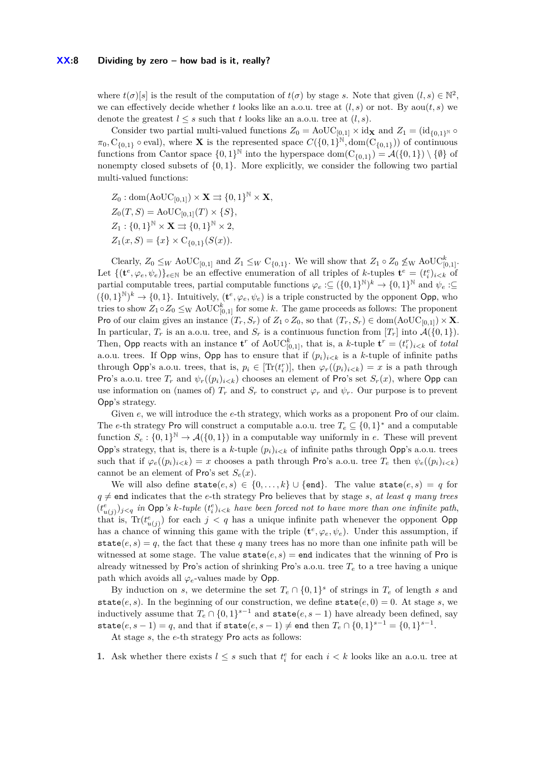where  $t(\sigma)[s]$  is the result of the computation of  $t(\sigma)$  by stage *s*. Note that given  $(l, s) \in \mathbb{N}^2$ , we can effectively decide whether *t* looks like an a.o.u. tree at  $(l, s)$  or not. By aou $(t, s)$  we denote the greatest  $l \leq s$  such that t looks like an a.o.u. tree at  $(l, s)$ .

Consider two partial multi-valued functions  $Z_0 = \text{AoUC}_{[0,1]} \times id_{\mathbf{X}}$  and  $Z_1 = (id_{\{0,1\}^{\mathbb{N}}} \circ$  $\pi_0$ ,  $C_{\{0,1\}}$   $\circ$  eval), where **X** is the represented space  $C(\{0,1\}^{\mathbb{N}}, \text{dom}(C_{\{0,1\}}))$  of continuous functions from Cantor space  $\{0,1\}^{\mathbb{N}}$  into the hyperspace dom $(C_{\{0,1\}}) = \mathcal{A}(\{0,1\}) \setminus \{\emptyset\}$  of nonempty closed subsets of {0*,* 1}. More explicitly, we consider the following two partial multi-valued functions:

 $Z_0$ : dom $(AoUC_{[0,1]}) \times \mathbf{X} \rightrightarrows \{0,1\}^{\mathbb{N}} \times \mathbf{X}$ ,  $Z_0(T, S) = \text{AoUC}_{[0,1]}(T) \times \{S\},$  $Z_1$  :  $\{0,1\}^{\mathbb{N}} \times \mathbf{X} \rightrightarrows \{0,1\}^{\mathbb{N}} \times 2$ ,  $Z_1(x, S) = \{x\} \times C_{\{0,1\}}(S(x)).$ 

Clearly,  $Z_0 \leq_W \text{AoUC}_{[0,1]}$  and  $Z_1 \leq_W \text{C}_{\{0,1\}}$ . We will show that  $Z_1 \circ Z_0 \nleq_W \text{AoUC}_{[0,1]}^k$ . Let  $\{(\mathbf{t}^e, \varphi_e, \psi_e)\}_{e \in \mathbb{N}}$  be an effective enumeration of all triples of *k*-tuples  $\mathbf{t}^e = (t_i^e)_{i \leq k}$  of partial computable trees, partial computable functions  $\varphi_e : \subseteq (\{0,1\}^{\mathbb{N}})^k \to \{0,1\}^{\mathbb{N}}$  and  $\psi_e : \subseteq$  $(\{0,1\}^{\mathbb{N}})^k \to \{0,1\}$ . Intuitively,  $(\mathbf{t}^e, \varphi_e, \psi_e)$  is a triple constructed by the opponent Opp, who tries to show  $Z_1 \circ Z_0 \leq_{\text{W}} \text{AoUC}_{[0,1]}^k$  for some *k*. The game proceeds as follows: The proponent Pro of our claim gives an instance  $(T_r, S_r)$  of  $Z_1 \circ Z_0$ , so that  $(T_r, S_r) \in \text{dom}(\text{AoUC}_{[0,1]}) \times \mathbf{X}$ . In particular,  $T_r$  is an a.o.u. tree, and  $S_r$  is a continuous function from  $[T_r]$  into  $\mathcal{A}(\{0,1\})$ . Then, Opp reacts with an instance  $\mathbf{t}^r$  of  $\mathrm{AoUC}_{[0,1]}^k$ , that is, a *k*-tuple  $\mathbf{t}^r = (t_i^r)_{i \leq k}$  of *total* a.o.u. trees. If Opp wins, Opp has to ensure that if  $(p_i)_{i \leq k}$  is a *k*-tuple of infinite paths through Opp's a.o.u. trees, that is,  $p_i \in [\text{Tr}(t_i^r)]$ , then  $\varphi_r((p_i)_{i \leq k}) = x$  is a path through Pro's a.o.u. tree  $T_r$  and  $\psi_r((p_i)_{i\leq k})$  chooses an element of Pro's set  $S_r(x)$ , where Opp can use information on (names of)  $T_r$  and  $S_r$  to construct  $\varphi_r$  and  $\psi_r$ . Our purpose is to prevent Opp's strategy.

Given *e*, we will introduce the *e*-th strategy, which works as a proponent Pro of our claim. The *e*-th strategy Pro will construct a computable a.o.u. tree  $T_e \subseteq \{0,1\}^*$  and a computable function  $S_e: \{0,1\}^{\mathbb{N}} \to \mathcal{A}(\{0,1\})$  in a computable way uniformly in *e*. These will prevent Opp's strategy, that is, there is a *k*-tuple  $(p_i)_{i \leq k}$  of infinite paths through Opp's a.o.u. trees such that if  $\varphi_e((p_i)_{i \leq k}) = x$  chooses a path through Pro's a.o.u. tree  $T_e$  then  $\psi_e((p_i)_{i \leq k})$ cannot be an element of Pro's set  $S_e(x)$ .

We will also define  $\text{state}(e, s) \in \{0, \ldots, k\} \cup \{\text{end}\}.$  The value  $\text{state}(e, s) = q$  for  $q \neq$  end indicates that the *e*-th strategy Pro believes that by stage *s*, *at least q many trees*  $(t_{u(j)}^e)_{j \leq q}$  in Opp's k-tuple  $(t_i^e)_{i \leq k}$  have been forced not to have more than one infinite path, that is,  $\text{Tr}(t_{u(j)}^e)$  for each  $j < q$  has a unique infinite path whenever the opponent Opp has a chance of winning this game with the triple  $(\mathbf{t}^e, \varphi_e, \psi_e)$ . Under this assumption, if state $(e, s) = q$ , the fact that these q many trees has no more than one infinite path will be witnessed at some stage. The value  $state(e, s) = end$  indicates that the winning of Pro is already witnessed by Pro's action of shrinking Pro's a.o.u. tree  $T_e$  to a tree having a unique path which avoids all  $\varphi_e$ -values made by Opp.

By induction on *s*, we determine the set  $T_e \cap \{0,1\}^s$  of strings in  $T_e$  of length *s* and state $(e, s)$ . In the beginning of our construction, we define state $(e, 0) = 0$ . At stage *s*, we inductively assume that  $T_e \cap \{0,1\}^{s-1}$  and  $\text{state}(e, s-1)$  have already been defined, say  $\texttt{state}(e, s - 1) = q$ , and that if  $\texttt{state}(e, s - 1) \neq \texttt{end}$  then  $T_e \cap \{0, 1\}^{s-1} = \{0, 1\}^{s-1}$ .

At stage *s*, the *e*-th strategy Pro acts as follows:

**1.** Ask whether there exists  $l \leq s$  such that  $t_i^e$  for each  $i < k$  looks like an a.o.u. tree at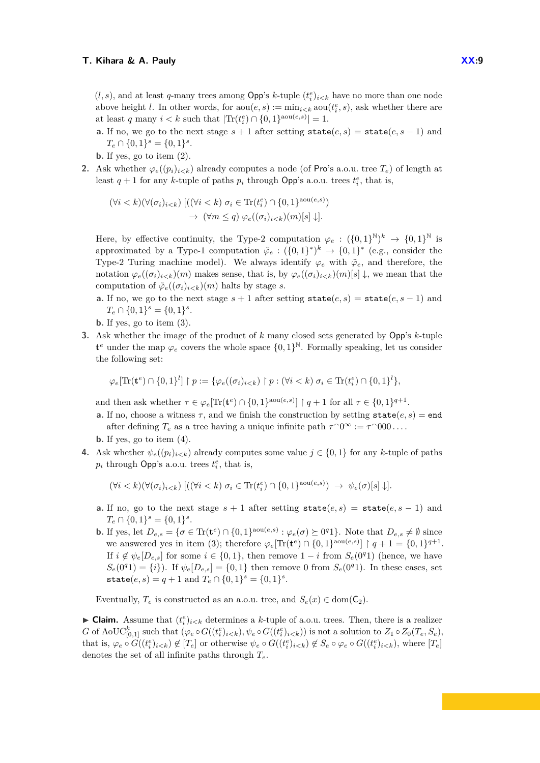$(l, s)$ , and at least *q*-many trees among Opp's *k*-tuple  $(t_i^e)_{i \leq k}$  have no more than one node above height *l*. In other words, for  $\text{aou}(e, s) := \min_{i \leq k} \text{aou}(t_i^e, s)$ , ask whether there are at least *q* many  $i < k$  such that  $|\text{Tr}(t_i^e) \cap \{0, 1\}^{\text{aou}(e, s)}| = 1$ .

- **a.** If no, we go to the next stage  $s + 1$  after setting  $state(e, s) = state(e, s 1)$  and  $T_e \cap \{0, 1\}^s = \{0, 1\}^s$ .
- **b.** If yes, go to item (2).
- **2.** Ask whether  $\varphi_e((p_i)_{i\leq k})$  already computes a node (of Pro's a.o.u. tree  $T_e$ ) of length at least  $q + 1$  for any *k*-tuple of paths  $p_i$  through Opp's a.o.u. trees  $t_i^e$ , that is,

$$
(\forall i < k)(\forall (\sigma_i)_{i < k}) \left[ ((\forall i < k) \ \sigma_i \in \text{Tr}(t_i^e) \cap \{0, 1\}^{\text{aou}(e, s)}) \rightarrow (\forall m \leq q) \ \varphi_e((\sigma_i)_{i < k})(m)[s] \downarrow \right].
$$

Here, by effective continuity, the Type-2 computation  $\varphi_e: (\{0,1\}^{\mathbb{N}})^k \to \{0,1\}^{\mathbb{N}}$  is approximated by a Type-1 computation  $\tilde{\varphi}_e : (\{0,1\}^*)^k \to \{0,1\}^*$  (e.g., consider the Type-2 Turing machine model). We always identify  $\varphi_e$  with  $\tilde{\varphi}_e$ , and therefore, the notation  $\varphi_e((\sigma_i)_{i\leq k})(m)$  makes sense, that is, by  $\varphi_e((\sigma_i)_{i\leq k})(m)[s] \downarrow$ , we mean that the computation of  $\tilde{\varphi}_e((\sigma_i)_{i < k})(m)$  halts by stage *s*.

- **a.** If no, we go to the next stage  $s + 1$  after setting state $(e, s)$  = state $(e, s 1)$  and  $T_e \cap \{0, 1\}^s = \{0, 1\}^s$ .
- **b.** If yes, go to item (3).
- **3.** Ask whether the image of the product of *k* many closed sets generated by Opp's *k*-tuple  $\mathbf{t}^e$  under the map  $\varphi_e$  covers the whole space  $\{0,1\}^{\mathbb{N}}$ . Formally speaking, let us consider the following set:

$$
\varphi_e[\text{Tr}(\mathbf{t}^e) \cap \{0,1\}^l] \restriction p := \{ \varphi_e((\sigma_i)_{i < k}) \restriction p : (\forall i < k) \ \sigma_i \in \text{Tr}(\mathbf{t}_i^e) \cap \{0,1\}^l \},
$$

and then ask whether  $\tau \in \varphi_e[\text{Tr}(\mathbf{t}^e) \cap \{0,1\}^{\text{aou}(e,s)}] \restriction q+1$  for all  $\tau \in \{0,1\}^{q+1}$ .

**a.** If no, choose a witness  $\tau$ , and we finish the construction by setting  $state(e, s) = end$ after defining  $T_e$  as a tree having a unique infinite path  $\tau$ <sup> $\gamma$ </sup><sup> $\in$ </sup>  $\tau$ <sup> $\gamma$ </sup><sup>000</sup>....

**b.** If yes, go to item (4).

**4.** Ask whether  $\psi_e((p_i)_{i \leq k})$  already computes some value  $j \in \{0, 1\}$  for any *k*-tuple of paths  $p_i$  through Opp's a.o.u. trees  $t_i^e$ , that is,

$$
(\forall i < k)(\forall (\sigma_i)_{i < k}) \left[ \left( (\forall i < k) \ \sigma_i \in \text{Tr}(t_i^e) \cap \{0, 1\}^{\text{aou}(e, s)} \right) \ \to \ \psi_e(\sigma)[s] \ \downarrow \right].
$$

- **a.** If no, go to the next stage  $s + 1$  after setting  $state(e, s) = state(e, s 1)$  and  $T_e \cap \{0, 1\}^s = \{0, 1\}^s$ .
- **b.** If yes, let  $D_{e,s} = {\sigma \in \text{Tr}(\mathbf{t}^e) \cap \{0,1\}^{\text{aou}(e,s)} : \varphi_e(\sigma) \succeq 0^q 1}$ . Note that  $D_{e,s} \neq \emptyset$  since we answered yes in item (3); therefore  $\varphi_e[\text{Tr}(\mathbf{t}^e) \cap \{0,1\}^{\text{aou}(e,s)}] \restriction q+1 = \{0,1\}^{q+1}$ . If  $i \notin \psi_e[D_{e,s}]$  for some  $i \in \{0,1\}$ , then remove  $1-i$  from  $S_e(0^q1)$  (hence, we have  $S_e(0^q1) = \{i\}$ . If  $\psi_e[D_{e,s}] = \{0,1\}$  then remove 0 from  $S_e(0^q1)$ . In these cases, set  $\text{state}(e, s) = q + 1 \text{ and } T_e \cap \{0, 1\}^s = \{0, 1\}^s.$

Eventually,  $T_e$  is constructed as an a.o.u. tree, and  $S_e(x) \in \text{dom}(\mathsf{C}_2)$ .

► Claim. Assume that  $(t_i^e)_{i \le k}$  determines a *k*-tuple of a.o.u. trees. Then, there is a realizer  $G$  of AoUC $_{[0,1]}^k$  such that  $(\varphi_e \circ G((t_i^e)_{i \le k}), \psi_e \circ G((t_i^e)_{i \le k}))$  is not a solution to  $Z_1 \circ Z_0(T_e, S_e)$ , that is,  $\varphi_e \circ G((t_i^e)_{i \le k}) \notin [T_e]$  or otherwise  $\psi_e \circ G((t_i^e)_{i \le k}) \notin S_e \circ \varphi_e \circ G((t_i^e)_{i \le k}),$  where  $[T_e]$ denotes the set of all infinite paths through *Te*.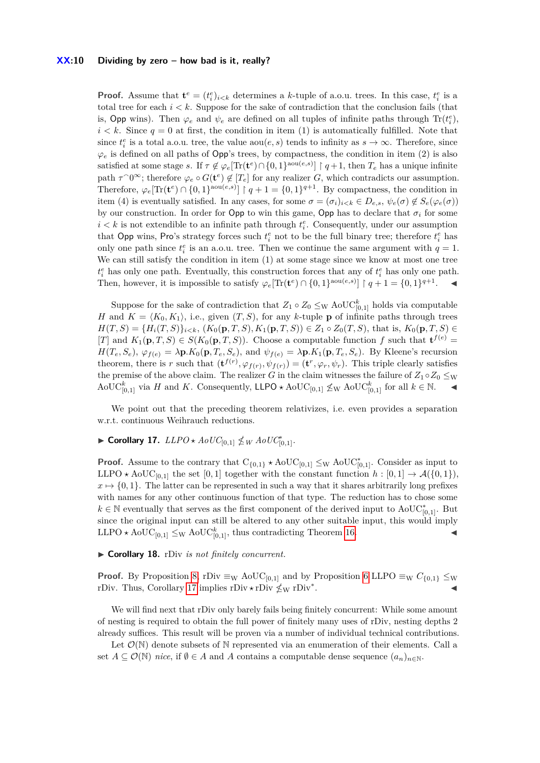#### **XX:10 Dividing by zero – how bad is it, really?**

**Proof.** Assume that  $\mathbf{t}^e = (t_i^e)_{i \le k}$  determines a *k*-tuple of a.o.u. trees. In this case,  $t_i^e$  is a total tree for each  $i < k$ . Suppose for the sake of contradiction that the conclusion fails (that is, Opp wins). Then  $\varphi_e$  and  $\psi_e$  are defined on all tuples of infinite paths through  $\text{Tr}(t_i^e)$ ,  $i < k$ . Since  $q = 0$  at first, the condition in item (1) is automatically fulfilled. Note that since  $t_i^e$  is a total a.o.u. tree, the value  $\text{aou}(e, s)$  tends to infinity as  $s \to \infty$ . Therefore, since  $\varphi_e$  is defined on all paths of Opp's trees, by compactness, the condition in item (2) is also satisfied at some stage *s*. If  $\tau \notin \varphi_e[\text{Tr}(\mathbf{t}^e) \cap \{0,1\}^{\text{aou}(e,s)}]$  |  $q+1$ , then  $T_e$  has a unique infinite path  $\tau^0$ <sup>∞</sup>; therefore  $\varphi_e \circ G(\mathbf{t}^e) \notin [T_e]$  for any realizer *G*, which contradicts our assumption. Therefore,  $\varphi_e[\text{Tr}(\mathbf{t}^e) \cap \{0,1\}^{\text{aou}(e,s)}]$  |  $q+1 = \{0,1\}^{q+1}$ . By compactness, the condition in item (4) is eventually satisfied. In any cases, for some  $\sigma = (\sigma_i)_{i \leq k} \in D_{e,s}, \psi_e(\sigma) \notin S_e(\varphi_e(\sigma))$ by our construction. In order for Opp to win this game, Opp has to declare that  $\sigma_i$  for some  $i < k$  is not extendible to an infinite path through  $t_i^e$ . Consequently, under our assumption that Opp wins, Pro's strategy forces such  $t_i^e$  not to be the full binary tree; therefore  $t_i^e$  has only one path since  $t_i^e$  is an a.o.u. tree. Then we continue the same argument with  $q = 1$ . We can still satisfy the condition in item (1) at some stage since we know at most one tree  $t_i^e$  has only one path. Eventually, this construction forces that any of  $t_i^e$  has only one path. Then, however, it is impossible to satisfy  $\varphi_e[\text{Tr}(\mathbf{t}^e) \cap \{0,1\}^{\text{aou}(e,s)}] \upharpoonright q+1 = \{0,1\}^{q+1}$ .

Suppose for the sake of contradiction that  $Z_1 \circ Z_0 \leq_{\text{W}} \text{AoUC}_{[0,1]}^k$  holds via computable *H* and  $K = \langle K_0, K_1 \rangle$ , i.e., given  $(T, S)$ , for any *k*-tuple **p** of infinite paths through trees *H*(*T, S*) = {*H<sub>i</sub>*(*T, S*)}*i*<sub><*k*</sub>, (*K*<sub>0</sub>(**p**, *T, S*)*, K*<sub>1</sub>(**p**, *T, S*)) ∈ *Z*<sub>1</sub> ◦ *Z*<sub>0</sub>(*T, S*), that is, *K*<sub>0</sub>(**p**, *T, S*) ∈ [*T*] and  $K_1(\mathbf{p}, T, S) \in S(K_0(\mathbf{p}, T, S))$ . Choose a computable function *f* such that  $\mathbf{t}^{f(e)} =$  $H(T_e, S_e), \varphi_{f(e)} = \lambda \mathbf{p} \cdot K_0(\mathbf{p}, T_e, S_e),$  and  $\psi_{f(e)} = \lambda \mathbf{p} \cdot K_1(\mathbf{p}, T_e, S_e)$ . By Kleene's recursion theorem, there is *r* such that  $(\mathbf{t}^{f(r)}, \varphi_{f(r)}, \psi_{f(r)}) = (\mathbf{t}^r, \varphi_r, \psi_r)$ . This triple clearly satisfies the premise of the above claim. The realizer *G* in the claim witnesses the failure of  $Z_1 \circ Z_0 \leq_W$  $A \odot \mathrm{UC}_{[0,1]}^k$  via *H* and *K*. Consequently, LLPO  $\star$  AoUC<sub>[0,1]</sub>  $\leq$ <sub>W</sub> AoUC<sub>[0,1]</sub> for all *k* ∈ N.  $\bullet$ 

We point out that the preceding theorem relativizes, i.e. even provides a separation w.r.t. continuous Weihrauch reductions.

# <span id="page-9-0"></span>▶ Corollary 17.  $LLPO \star AoUC_{[0,1]}$   $\nleq W AoUC_{[0,1]}^*$ .

**Proof.** Assume to the contrary that  $C_{\{0,1\}} \star \text{AoUC}_{[0,1]} \leq_{W} \text{AoUC}_{[0,1]}^*$ . Consider as input to LLPO  $\star$  AoUC<sub>[0,1]</sub> the set [0,1] together with the constant function  $h : [0,1] \to \mathcal{A}(\{0,1\}),$  $x \mapsto \{0, 1\}$ . The latter can be represented in such a way that it shares arbitrarily long prefixes with names for any other continuous function of that type. The reduction has to chose some  $k \in \mathbb{N}$  eventually that serves as the first component of the derived input to  $A \text{o} \text{UC}^*_{[0,1]}$ . But since the original input can still be altered to any other suitable input, this would imply LLPO  $\star$  AoUC<sub>[0,1]</sub>  $\leq_W$  AoUC<sub>[0,1]</sub>, thus contradicting Theorem [16.](#page-6-1)

#### ▶ Corollary 18. rDiv *is not finitely concurrent.*

**Proof.** By Proposition [8,](#page-5-2) rDiv  $\equiv_{\mathbf{W}}$  AoUC<sub>[0,1]</sub> and by Proposition [6](#page-0-1) LLPO  $\equiv_{\mathbf{W}} C_{\{0,1\}} \leq_{\mathbf{W}}$ rDiv. Thus, Corollary [17](#page-9-0) implies rDiv  $\star$  rDiv<sup>\*</sup> . J

We will find next that rDiv only barely fails being finitely concurrent: While some amount of nesting is required to obtain the full power of finitely many uses of rDiv, nesting depths 2 already suffices. This result will be proven via a number of individual technical contributions.

Let  $\mathcal{O}(\mathbb{N})$  denote subsets of N represented via an enumeration of their elements. Call a set  $A \subseteq \mathcal{O}(\mathbb{N})$  *nice*, if  $\emptyset \in A$  and A contains a computable dense sequence  $(a_n)_{n \in \mathbb{N}}$ .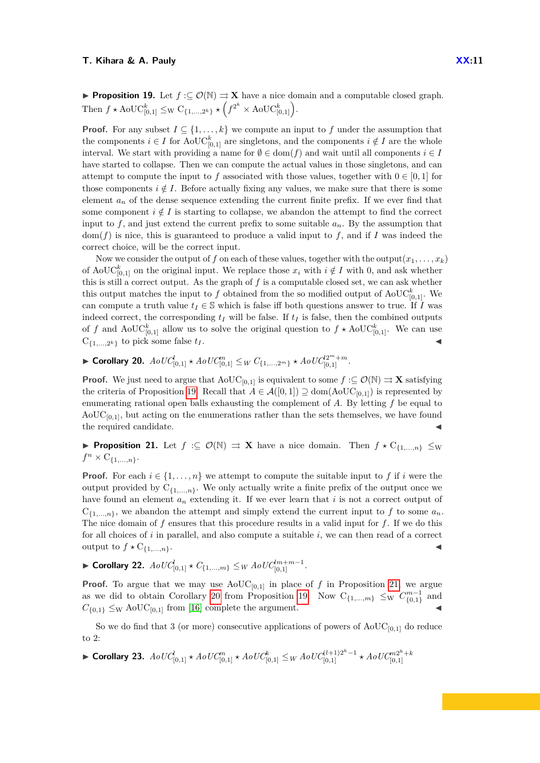<span id="page-10-0"></span>**Proof.** For any subset  $I \subseteq \{1, \ldots, k\}$  we compute an input to f under the assumption that the components  $i \in I$  for AoUC<sup>k</sup><sub>[0,1]</sub> are singletons, and the components  $i \notin I$  are the whole interval. We start with providing a name for  $\emptyset \in \text{dom}(f)$  and wait until all components  $i \in I$ have started to collapse. Then we can compute the actual values in those singletons, and can attempt to compute the input to f associated with those values, together with  $0 \in [0, 1]$  for those components  $i \notin I$ . Before actually fixing any values, we make sure that there is some element  $a_n$  of the dense sequence extending the current finite prefix. If we ever find that some component  $i \notin I$  is starting to collapse, we abandon the attempt to find the correct input to  $f$ , and just extend the current prefix to some suitable  $a_n$ . By the assumption that  $dom(f)$  is nice, this is guaranteed to produce a valid input to  $f$ , and if  $I$  was indeed the correct choice, will be the correct input.

Now we consider the output of *f* on each of these values, together with the output $(x_1, \ldots, x_k)$ of AoUC<sup>k</sup><sub>[0,1]</sub> on the original input. We replace those  $x_i$  with  $i \notin I$  with 0, and ask whether this is still a correct output. As the graph of *f* is a computable closed set, we can ask whether this output matches the input to  $f$  obtained from the so modified output of AoU $C_{[0,1]}^k$ . We can compute a truth value  $t_I \in \mathbb{S}$  which is false iff both questions answer to true. If *I* was indeed correct, the corresponding  $t_I$  will be false. If  $t_I$  is false, then the combined outputs of f and  $\mathrm{AoUC}_{[0,1]}^k$  allow us to solve the original question to  $f \star \mathrm{AoUC}_{[0,1]}^k$ . We can use  $C_{\{1,\ldots,2^k\}}$  to pick some false  $t_I$ .

<span id="page-10-2"></span>▶ Corollary 20.  $AoUC^1_{[0,1]}$  ★  $AoUC^m_{[0,1]} \leq_W C_{\{1,\ldots,2^m\}}$  ★  $AoUC^{2^m+m}_{[0,1]}$ .

**Proof.** We just need to argue that  $\text{AoUC}_{[0,1]}$  is equivalent to some  $f : \subseteq \mathcal{O}(\mathbb{N}) \Rightarrow \mathbf{X}$  satisfying the criteria of Proposition [19.](#page-10-0) Recall that  $A \in \mathcal{A}([0,1]) \supseteq \text{dom}(\text{AoUC}_{[0,1]})$  is represented by enumerating rational open balls exhausting the complement of *A*. By letting *f* be equal to  $A_0UC_{[0,1]}$ , but acting on the enumerations rather than the sets themselves, we have found the required candidate.

<span id="page-10-1"></span>**► Proposition 21.** Let  $f \text{ : } \subseteq \mathcal{O}(\mathbb{N}) \Rightarrow \mathbf{X}$  have a nice domain. Then  $f \star C_{\{1,\ldots,n\}} \leq w$  $f^n \times C_{\{1,\ldots,n\}}$ .

**Proof.** For each  $i \in \{1, \ldots, n\}$  we attempt to compute the suitable input to f if *i* were the output provided by  $C_{\{1,\ldots,n\}}$ . We only actually write a finite prefix of the output once we have found an element *a<sup>n</sup>* extending it. If we ever learn that *i* is not a correct output of  $C_{\{1,\ldots,n\}}$ , we abandon the attempt and simply extend the current input to f to some  $a_n$ . The nice domain of *f* ensures that this procedure results in a valid input for *f*. If we do this for all choices of *i* in parallel, and also compute a suitable *i*, we can then read of a correct output to  $f \star C_{\{1,\ldots,n\}}$ .

<span id="page-10-4"></span>▶ Corollary 22.  $AoUC_{[0,1]}^l \star C_{\{1,...,m\}} \leq _W AoUC_{[0,1]}^{lm+m-1}.$ 

**Proof.** To argue that we may use  $\text{AoUC}_{[0,1]}$  in place of *f* in Proposition [21,](#page-10-1) we argue as we did to obtain Corollary [20](#page-10-2) from Proposition [19.](#page-10-0) Now  $C_{\{1,\ldots,m\}} \leq_W C_{\{0,1\}}^{m-1}$  and  $C_{\{0,1\}} \leq_{\text{W}} \text{AoUC}_{[0,1]}$  from [\[16\]](#page-13-0) complete the argument.

So we do find that 3 (or more) consecutive applications of powers of  $A_0UC_{[0,1]}$  do reduce to 2:

<span id="page-10-3"></span>► Corollary 23.  $AoUC^l_{[0,1]}$   $\star~ AoUC^m_{[0,1]}$   $\star~ AoUC^k_{[0,1]} \leq_W AoUC^{(l+1)2^k-1}_{[0,1]}$   $\star~ AoUC^{m2^k+k}_{[0,1]}$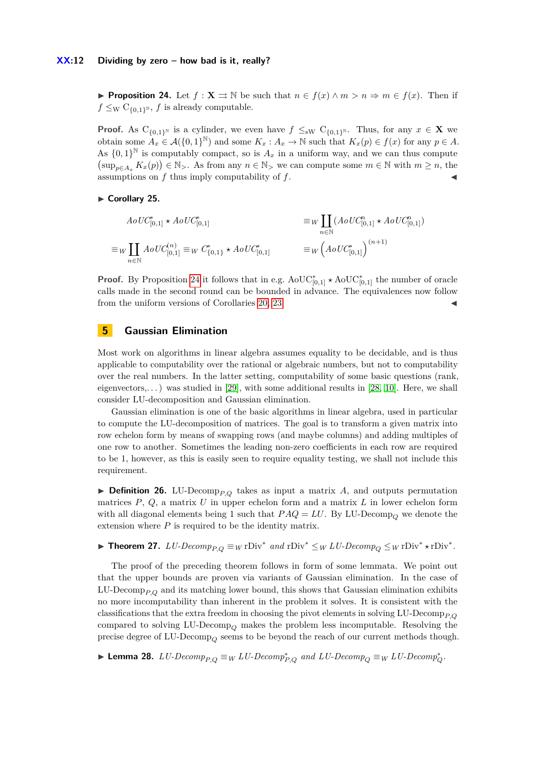#### **XX:12 Dividing by zero – how bad is it, really?**

<span id="page-11-0"></span>**Proposition 24.** Let  $f: \mathbf{X} \Rightarrow \mathbb{N}$  be such that  $n \in f(x) \land m > n \Rightarrow m \in f(x)$ . Then if  $f \leq_{\text{W}} C_{\{0,1\}^{\text{N}}}, f$  is already computable.

**Proof.** As C<sub>{0,1}</sub><sup>N</sup> is a cylinder, we even have  $f \leq_{\text{SW}} C_{\{0,1\}^N}$ . Thus, for any  $x \in \mathbf{X}$  we obtain some  $A_x \in \mathcal{A}(\{0,1\}^{\mathbb{N}})$  and some  $K_x : A_x \to \mathbb{N}$  such that  $K_x(p) \in f(x)$  for any  $p \in A$ . As  $\{0,1\}^{\mathbb{N}}$  is computably compact, so is  $A_x$  in a uniform way, and we can thus compute  $(\sup_{p\in A_x} K_x(p)) \in \mathbb{N}_{>}$ . As from any  $n \in \mathbb{N}_{>}$  we can compute some  $m \in \mathbb{N}$  with  $m \geq n$ , the assumptions on  $f$  thus imply computability of  $f$ .

► Corollary 25.

$$
AoUC_{[0,1]}^{*} \star AoUC_{[0,1]}^{*} \equiv W \coprod_{n \in \mathbb{N}} (AoUC_{[0,1]}^{n} \star AoUC_{[0,1]}^{n})
$$
  

$$
\equiv W \coprod_{n \in \mathbb{N}} AoUC_{[0,1]}^{(n)} \equiv W C_{\{0,1\}}^{*} \star AoUC_{[0,1]}^{*} \equiv W (AoUC_{[0,1]}^{*})^{(n+1)}
$$

**Proof.** By Proposition [24](#page-11-0) it follows that in e.g.  $\text{AoUC}_{[0,1]}^* \star \text{AoUC}_{[0,1]}^*$  the number of oracle calls made in the second round can be bounded in advance. The equivalences now follow from the uniform versions of Corollaries [20,](#page-10-2) [23.](#page-10-3)

# **5 Gaussian Elimination**

Most work on algorithms in linear algebra assumes equality to be decidable, and is thus applicable to computability over the rational or algebraic numbers, but not to computability over the real numbers. In the latter setting, computability of some basic questions (rank, eigenvectors,...) was studied in [\[29\]](#page-14-9), with some additional results in [\[28,](#page-14-10) [10\]](#page-13-13). Here, we shall consider LU-decomposition and Gaussian elimination.

Gaussian elimination is one of the basic algorithms in linear algebra, used in particular to compute the LU-decomposition of matrices. The goal is to transform a given matrix into row echelon form by means of swapping rows (and maybe columns) and adding multiples of one row to another. Sometimes the leading non-zero coefficients in each row are required to be 1, however, as this is easily seen to require equality testing, we shall not include this requirement.

 $\triangleright$  **Definition 26.** LU-Decomp<sub>*P*,*Q*</sub> takes as input a matrix *A*, and outputs permutation matrices  $P$ ,  $Q$ , a matrix  $U$  in upper echelon form and a matrix  $L$  in lower echelon form with all diagonal elements being 1 such that  $PAQ = LU$ . By LU-Decomp<sub> $Q$ </sub> we denote the extension where *P* is required to be the identity matrix.

▶ **Theorem 27.**  $LU\text{-}Decomp_{P,Q} \equiv_W \text{rDiv}^*$  and  $\text{rDiv}^* \leq_W LU\text{-}Decomp_Q \leq_W \text{rDiv}^* \star \text{rDiv}^*$ .

The proof of the preceding theorem follows in form of some lemmata. We point out that the upper bounds are proven via variants of Gaussian elimination. In the case of LU-Decomp<sub>P $\Omega$ </sub> and its matching lower bound, this shows that Gaussian elimination exhibits no more incomputability than inherent in the problem it solves. It is consistent with the classifications that the extra freedom in choosing the pivot elements in solving  $LU\text{-}Decomp_{P,Q}$ compared to solving LU-Decomp*<sup>Q</sup>* makes the problem less incomputable. Resolving the precise degree of LU-Decomp*<sup>Q</sup>* seems to be beyond the reach of our current methods though.

▶ Lemma 28.  $LU\text{-}Decomp_{P,Q} \equiv_W LU\text{-}Decomp_{P,Q}^*$  and  $LU\text{-}Decomp_Q \equiv_W LU\text{-}Decomp_Q^*$ .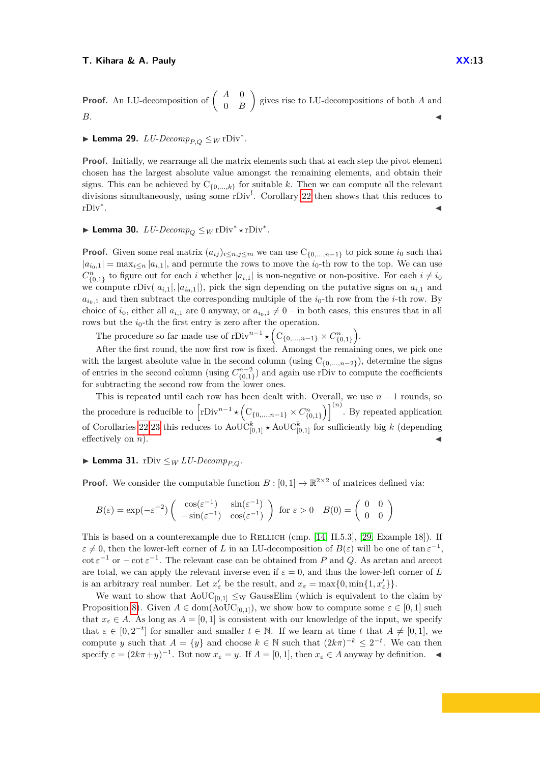**Proof.** An LU-decomposition of 
$$
\begin{pmatrix} A & 0 \\ 0 & B \end{pmatrix}
$$
 gives rise to LU-decompositions of both A and B.

# ► **Lemma 29.**  $LU\text{-}Decomp_{P,Q} \leq_W \text{rDiv}^*$ .

**Proof.** Initially, we rearrange all the matrix elements such that at each step the pivot element chosen has the largest absolute value amongst the remaining elements, and obtain their signs. This can be achieved by  $C_{\{0,\ldots,k\}}$  for suitable *k*. Then we can compute all the relevant divisions simultaneously, using some rDiv<sup>l</sup>. Corollary [22](#page-10-4) then shows that this reduces to rDiv<sup>∗</sup> . January 1986, and the contract of the contract of the contract of the contract of the contract of the contract of

# ► Lemma 30.  $LU\text{-}Decomp_Q \leq_W \text{rDiv}^* \star \text{rDiv}^*.$

**Proof.** Given some real matrix  $(a_{ij})_{i \leq n, j \leq m}$  we can use  $C_{\{0,\ldots,n-1\}}$  to pick some  $i_0$  such that  $|a_{i_0,1}| = \max_{i \le n} |a_{i,1}|$ , and permute the rows to move the *i*<sub>0</sub>-th row to the top. We can use  $C_{\{0,1\}}^n$  to figure out for each *i* whether  $|a_{i,1}|$  is non-negative or non-positive. For each  $i \neq i_0$ we compute  $rDiv(|a_{i,1}|, |a_{i_0,1}|)$ , pick the sign depending on the putative signs on  $a_{i,1}$  and  $a_{i0,1}$  and then subtract the corresponding multiple of the *i*<sub>0</sub>-th row from the *i*-th row. By choice of  $i_0$ , either all  $a_{i,1}$  are 0 anyway, or  $a_{i_0,1} \neq 0$  – in both cases, this ensures that in all rows but the  $i_0$ -th the first entry is zero after the operation.

The procedure so far made use of  $rDiv^{n-1} \star (C_{\{0,\ldots,n-1\}} \times C_{\{0,1\}}^n)$ .

After the first round, the now first row is fixed. Amongst the remaining ones, we pick one with the largest absolute value in the second column (using  $C_{\{0,\ldots,n-2\}}$ ), determine the signs of entries in the second column (using  $C_{\{0,1\}}^{n-2}$ ) and again use rDiv to compute the coefficients for subtracting the second row from the lower ones.

This is repeated until each row has been dealt with. Overall, we use  $n-1$  rounds, so the procedure is reducible to  $\left[\text{rDiv}^{n-1} \star \left( \text{C}_{\{0,\ldots,n-1\}} \times C_{\{0,1\}}^n \right)\right]^{(n)}$ . By repeated application of Corollaries [22](#page-10-4)[,23](#page-10-3) this reduces to  $\mathrm{AoUC}_{[0,1]}^k$   $\star$   $\mathrm{AoUC}_{[0,1]}^k$  for sufficiently big *k* (depending effectively on  $n$ ).

# ▶ **Lemma 31.** rDiv  $\leq_W LU\text{-}Decomp_{PO}$ *.*

**Proof.** We consider the computable function  $B : [0,1] \to \mathbb{R}^{2 \times 2}$  of matrices defined via:

$$
B(\varepsilon) = \exp(-\varepsilon^{-2}) \begin{pmatrix} \cos(\varepsilon^{-1}) & \sin(\varepsilon^{-1}) \\ -\sin(\varepsilon^{-1}) & \cos(\varepsilon^{-1}) \end{pmatrix} \text{ for } \varepsilon > 0 \quad B(0) = \begin{pmatrix} 0 & 0 \\ 0 & 0 \end{pmatrix}
$$

This is based on a counterexample due to RELLICH (cmp.  $[14, II.5.3]$  $[14, II.5.3]$ ,  $[29, Example 18]$  $[29, Example 18]$ ). If  $\varepsilon \neq 0$ , then the lower-left corner of *L* in an LU-decomposition of  $B(\varepsilon)$  will be one of tan  $\varepsilon^{-1}$ ,  $\cot \varepsilon^{-1}$  or  $-\cot \varepsilon^{-1}$ . The relevant case can be obtained from *P* and *Q*. As arctan and arccot are total, we can apply the relevant inverse even if  $\varepsilon = 0$ , and thus the lower-left corner of L is an arbitrary real number. Let  $x'_{\varepsilon}$  be the result, and  $x_{\varepsilon} = \max\{0, \min\{1, x'_{\varepsilon}\}\}.$ 

We want to show that  $A_0UC_{[0,1]} \leq_W$  GaussElim (which is equivalent to the claim by Proposition [8\)](#page-5-2). Given  $A \in \text{dom}(\text{AoUC}_{[0,1]})$ , we show how to compute some  $\varepsilon \in [0,1]$  such that  $x_{\varepsilon} \in A$ . As long as  $A = [0, 1]$  is consistent with our knowledge of the input, we specify that  $\varepsilon \in [0, 2^{-t}]$  for smaller and smaller  $t \in \mathbb{N}$ . If we learn at time *t* that  $A \neq [0, 1]$ , we compute *y* such that  $A = \{y\}$  and choose  $k \in \mathbb{N}$  such that  $(2k\pi)^{-k} \leq 2^{-t}$ . We can then specify  $\varepsilon = (2k\pi + y)^{-1}$ . But now  $x_{\varepsilon} = y$ . If  $A = [0, 1]$ , then  $x_{\varepsilon} \in A$  anyway by definition.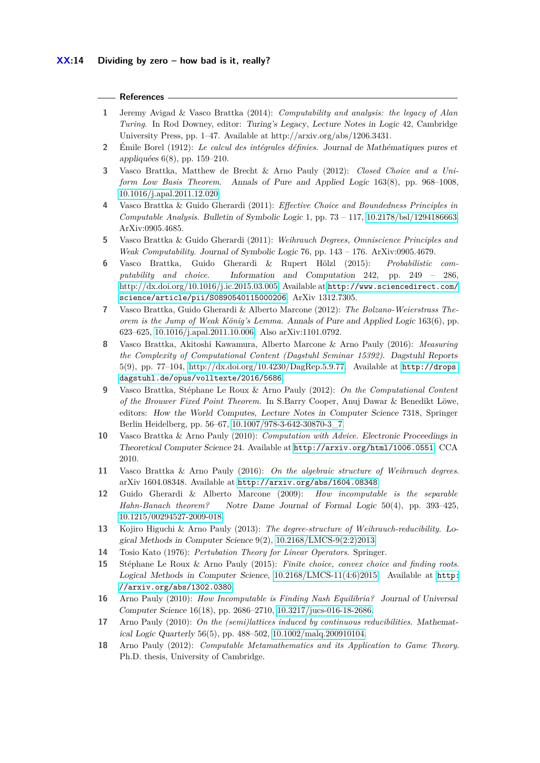# **References**

- <span id="page-13-2"></span>**1** Jeremy Avigad & Vasco Brattka (2014): *Computability and analysis: the legacy of Alan Turing*. In Rod Downey, editor: Turing's Legacy, Lecture Notes in Logic 42, Cambridge University Press, pp. 1–47. Available at http://arxiv.org/abs/1206.3431.
- <span id="page-13-1"></span>**2** Émile Borel (1912): *Le calcul des intégrales définies*. Journal de Mathématiques pures et appliquées 6(8), pp. 159–210.
- <span id="page-13-12"></span>**3** Vasco Brattka, Matthew de Brecht & Arno Pauly (2012): *Closed Choice and a Uniform Low Basis Theorem*. Annals of Pure and Applied Logic 163(8), pp. 968–1008, [10.1016/j.apal.2011.12.020.](http://dx.doi.org/10.1016/j.apal.2011.12.020)
- <span id="page-13-4"></span>**4** Vasco Brattka & Guido Gherardi (2011): *Effective Choice and Boundedness Principles in Computable Analysis*. Bulletin of Symbolic Logic 1, pp. 73 – 117, [10.2178/bsl/1294186663.](http://dx.doi.org/10.2178/bsl/1294186663) ArXiv:0905.4685.
- <span id="page-13-3"></span>**5** Vasco Brattka & Guido Gherardi (2011): *Weihrauch Degrees, Omniscience Principles and Weak Computability*. Journal of Symbolic Logic 76, pp. 143 – 176. ArXiv:0905.4679.
- <span id="page-13-6"></span>**6** Vasco Brattka, Guido Gherardi & Rupert Hölzl (2015): *Probabilistic computability and choice*. Information and Computation 242, pp. 249 – 286, [http://dx.doi.org/10.1016/j.ic.2015.03.005.](http://dx.doi.org/http://dx.doi.org/10.1016/j.ic.2015.03.005) Available at [http://www.sciencedirect.com/](http://www.sciencedirect.com/science/article/pii/S0890540115000206) [science/article/pii/S0890540115000206](http://www.sciencedirect.com/science/article/pii/S0890540115000206). ArXiv 1312.7305.
- <span id="page-13-10"></span>**7** Vasco Brattka, Guido Gherardi & Alberto Marcone (2012): *The Bolzano-Weierstrass Theorem is the Jump of Weak König's Lemma*. Annals of Pure and Applied Logic 163(6), pp. 623–625, [10.1016/j.apal.2011.10.006.](http://dx.doi.org/10.1016/j.apal.2011.10.006) Also arXiv:1101.0792.
- <span id="page-13-16"></span>**8** Vasco Brattka, Akitoshi Kawamura, Alberto Marcone & Arno Pauly (2016): *Measuring the Complexity of Computational Content (Dagstuhl Seminar 15392)*. Dagstuhl Reports 5(9), pp. 77–104, [http://dx.doi.org/10.4230/DagRep.5.9.77.](http://dx.doi.org/http://dx.doi.org/10.4230/DagRep.5.9.77) Available at [http://drops.](http://drops.dagstuhl.de/opus/volltexte/2016/5686) [dagstuhl.de/opus/volltexte/2016/5686](http://drops.dagstuhl.de/opus/volltexte/2016/5686).
- <span id="page-13-9"></span>**9** Vasco Brattka, Stéphane Le Roux & Arno Pauly (2012): *On the Computational Content of the Brouwer Fixed Point Theorem*. In S.Barry Cooper, Anuj Dawar & Benedikt Löwe, editors: How the World Computes, Lecture Notes in Computer Science 7318, Springer Berlin Heidelberg, pp. 56–67, [10.1007/978-3-642-30870-3\\_7.](http://dx.doi.org/10.1007/978-3-642-30870-3_7)
- <span id="page-13-13"></span>**10** Vasco Brattka & Arno Pauly (2010): *Computation with Advice*. Electronic Proceedings in Theoretical Computer Science 24. Available at <http://arxiv.org/html/1006.0551>. CCA 2010.
- <span id="page-13-11"></span>**11** Vasco Brattka & Arno Pauly (2016): *On the algebraic structure of Weihrauch degrees*. arXiv 1604.08348. Available at <http://arxiv.org/abs/1604.08348>.
- <span id="page-13-5"></span>**12** Guido Gherardi & Alberto Marcone (2009): *How incomputable is the separable Hahn-Banach theorem?* Notre Dame Journal of Formal Logic 50(4), pp. 393–425, [10.1215/00294527-2009-018.](http://dx.doi.org/10.1215/00294527-2009-018)
- <span id="page-13-8"></span>**13** Kojiro Higuchi & Arno Pauly (2013): *The degree-structure of Weihrauch-reducibility*. Logical Methods in Computer Science 9(2), [10.2168/LMCS-9\(2:2\)2013.](http://dx.doi.org/10.2168/LMCS-9(2:2)2013)
- <span id="page-13-17"></span>**14** Tosio Kato (1976): *Pertubation Theory for Linear Operators*. Springer.
- <span id="page-13-14"></span>**15** Stéphane Le Roux & Arno Pauly (2015): *Finite choice, convex choice and finding roots*. Logical Methods in Computer Science,  $10.2168$ /LMCS-11(4:6)2015. Available at [http:](http://arxiv.org/abs/1302.0380) [//arxiv.org/abs/1302.0380](http://arxiv.org/abs/1302.0380).
- <span id="page-13-0"></span>**16** Arno Pauly (2010): *How Incomputable is Finding Nash Equilibria?* Journal of Universal Computer Science 16(18), pp. 2686–2710, [10.3217/jucs-016-18-2686.](http://dx.doi.org/10.3217/jucs-016-18-2686)
- <span id="page-13-7"></span>**17** Arno Pauly (2010): *On the (semi)lattices induced by continuous reducibilities*. Mathematical Logic Quarterly 56(5), pp. 488–502, [10.1002/malq.200910104.](http://dx.doi.org/10.1002/malq.200910104)
- <span id="page-13-15"></span>**18** Arno Pauly (2012): *Computable Metamathematics and its Application to Game Theory*. Ph.D. thesis, University of Cambridge.